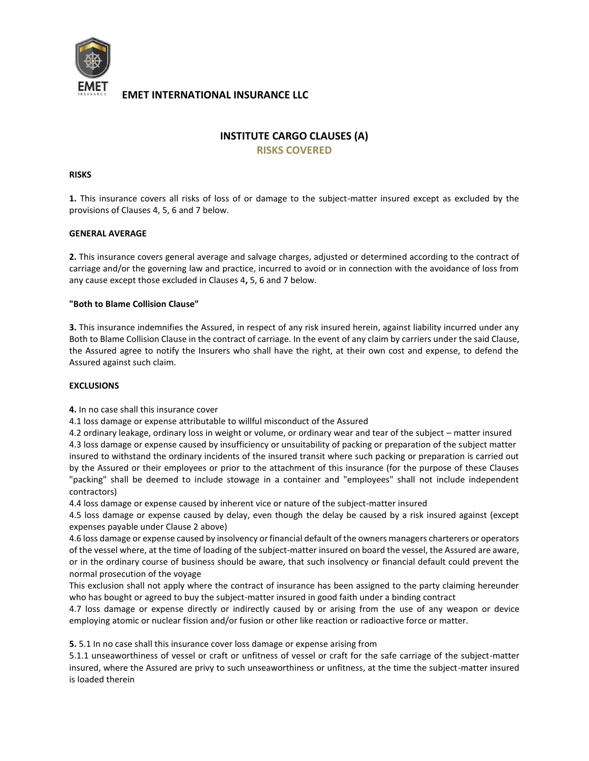

# **INSTITUTE CARGO CLAUSES (A)**

**RISKS COVERED**

### **RISKS**

**1.** This insurance covers all risks of loss of or damage to the subject-matter insured except as excluded by the provisions of Clauses 4, 5, 6 and 7 below.

# **GENERAL AVERAGE**

**2.** This insurance covers general average and salvage charges, adjusted or determined according to the contract of carriage and/or the governing law and practice, incurred to avoid or in connection with the avoidance of loss from any cause except those excluded in Clauses 4**,** 5, 6 and 7 below.

### **"Both to Blame Collision Clause"**

**3.** This insurance indemnifies the Assured, in respect of any risk insured herein, against liability incurred under any Both to Blame Collision Clause in the contract of carriage. In the event of any claim by carriers under the said Clause, the Assured agree to notify the Insurers who shall have the right, at their own cost and expense, to defend the Assured against such claim.

### **EXCLUSIONS**

**4.** In no case shall this insurance cover

4.1 loss damage or expense attributable to willful misconduct of the Assured

4.2 ordinary leakage, ordinary loss in weight or volume, or ordinary wear and tear of the subject – matter insured 4.3 loss damage or expense caused by insufficiency or unsuitability of packing or preparation of the subject matter insured to withstand the ordinary incidents of the insured transit where such packing or preparation is carried out by the Assured or their employees or prior to the attachment of this insurance (for the purpose of these Clauses "packing" shall be deemed to include stowage in a container and "employees" shall not include independent contractors)

4.4 loss damage or expense caused by inherent vice or nature of the subject-matter insured

4.5 loss damage or expense caused by delay, even though the delay be caused by a risk insured against (except expenses payable under Clause 2 above)

4.6 loss damage or expense caused by insolvency or financial default of the owners managers charterers or operators of the vessel where, at the time of loading of the subject-matter insured on board the vessel, the Assured are aware, or in the ordinary course of business should be aware, that such insolvency or financial default could prevent the normal prosecution of the voyage

This exclusion shall not apply where the contract of insurance has been assigned to the party claiming hereunder who has bought or agreed to buy the subject-matter insured in good faith under a binding contract

4.7 loss damage or expense directly or indirectly caused by or arising from the use of any weapon or device employing atomic or nuclear fission and/or fusion or other like reaction or radioactive force or matter.

### **5.** 5.1 In no case shall this insurance cover loss damage or expense arising from

5.1.1 unseaworthiness of vessel or craft or unfitness of vessel or craft for the safe carriage of the subject-matter insured, where the Assured are privy to such unseaworthiness or unfitness, at the time the subject-matter insured is loaded therein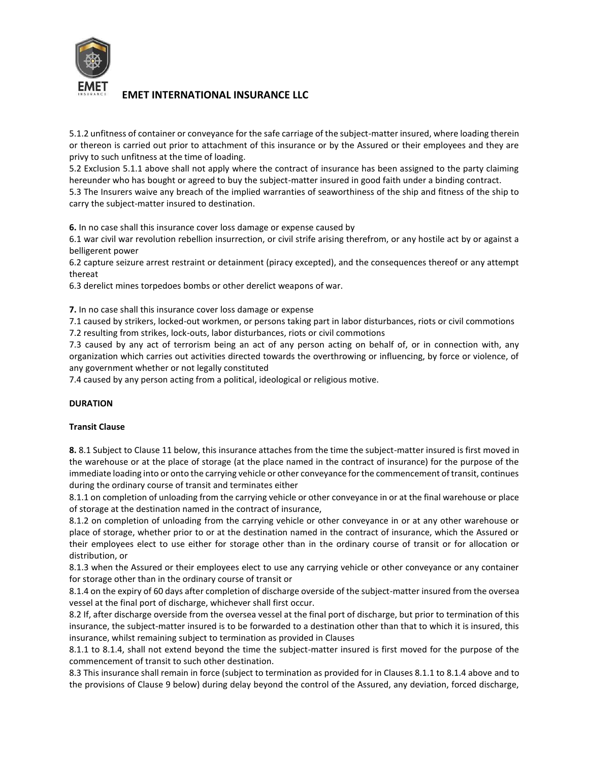

5.1.2 unfitness of container or conveyance for the safe carriage of the subject-matter insured, where loading therein or thereon is carried out prior to attachment of this insurance or by the Assured or their employees and they are privy to such unfitness at the time of loading.

5.2 Exclusion 5.1.1 above shall not apply where the contract of insurance has been assigned to the party claiming hereunder who has bought or agreed to buy the subject-matter insured in good faith under a binding contract.

5.3 The Insurers waive any breach of the implied warranties of seaworthiness of the ship and fitness of the ship to carry the subject-matter insured to destination.

**6.** In no case shall this insurance cover loss damage or expense caused by

6.1 war civil war revolution rebellion insurrection, or civil strife arising therefrom, or any hostile act by or against a belligerent power

6.2 capture seizure arrest restraint or detainment (piracy excepted), and the consequences thereof or any attempt thereat

6.3 derelict mines torpedoes bombs or other derelict weapons of war.

**7.** In no case shall this insurance cover loss damage or expense

7.1 caused by strikers, locked-out workmen, or persons taking part in labor disturbances, riots or civil commotions 7.2 resulting from strikes, lock-outs, labor disturbances, riots or civil commotions

7.3 caused by any act of terrorism being an act of any person acting on behalf of, or in connection with, any organization which carries out activities directed towards the overthrowing or influencing, by force or violence, of any government whether or not legally constituted

7.4 caused by any person acting from a political, ideological or religious motive.

# **DURATION**

# **Transit Clause**

**8.** 8.1 Subject to Clause 11 below, this insurance attaches from the time the subject-matter insured is first moved in the warehouse or at the place of storage (at the place named in the contract of insurance) for the purpose of the immediate loading into or onto the carrying vehicle or other conveyance for the commencement of transit, continues during the ordinary course of transit and terminates either

8.1.1 on completion of unloading from the carrying vehicle or other conveyance in or at the final warehouse or place of storage at the destination named in the contract of insurance,

8.1.2 on completion of unloading from the carrying vehicle or other conveyance in or at any other warehouse or place of storage, whether prior to or at the destination named in the contract of insurance, which the Assured or their employees elect to use either for storage other than in the ordinary course of transit or for allocation or distribution, or

8.1.3 when the Assured or their employees elect to use any carrying vehicle or other conveyance or any container for storage other than in the ordinary course of transit or

8.1.4 on the expiry of 60 days after completion of discharge overside of the subject-matter insured from the oversea vessel at the final port of discharge, whichever shall first occur.

8.2 If, after discharge overside from the oversea vessel at the final port of discharge, but prior to termination of this insurance, the subject-matter insured is to be forwarded to a destination other than that to which it is insured, this insurance, whilst remaining subject to termination as provided in Clauses

8.1.1 to 8.1.4, shall not extend beyond the time the subject-matter insured is first moved for the purpose of the commencement of transit to such other destination.

8.3 This insurance shall remain in force (subject to termination as provided for in Clauses 8.1.1 to 8.1.4 above and to the provisions of Clause 9 below) during delay beyond the control of the Assured, any deviation, forced discharge,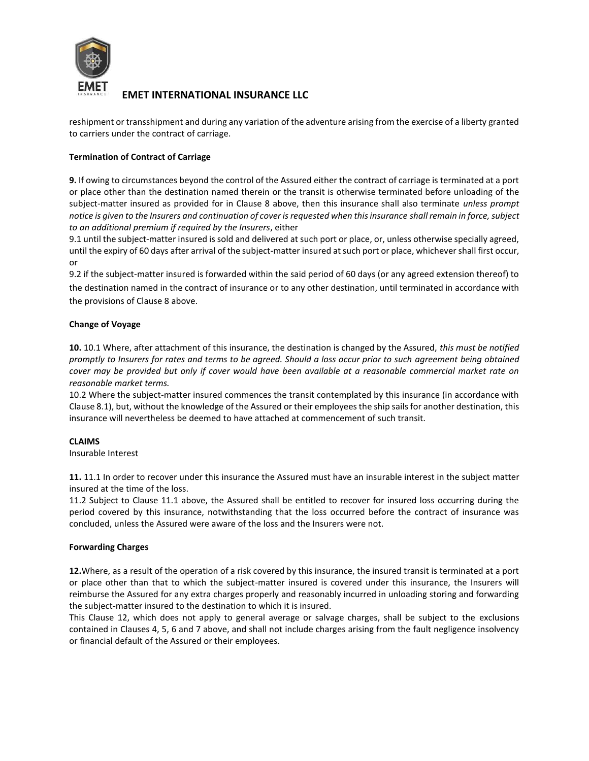

reshipment or transshipment and during any variation of the adventure arising from the exercise of a liberty granted to carriers under the contract of carriage.

# **Termination of Contract of Carriage**

**9.** If owing to circumstances beyond the control of the Assured either the contract of carriage is terminated at a port or place other than the destination named therein or the transit is otherwise terminated before unloading of the subject-matter insured as provided for in Clause 8 above, then this insurance shall also terminate *unless prompt notice is given to the Insurers and continuation of cover is requested when this insurance shall remain in force, subject to an additional premium if required by the Insurers*, either

9.1 until the subject-matter insured is sold and delivered at such port or place, or, unless otherwise specially agreed, until the expiry of 60 days after arrival of the subject-matter insured at such port or place, whichever shall first occur, or

9.2 if the subject-matter insured is forwarded within the said period of 60 days (or any agreed extension thereof) to the destination named in the contract of insurance or to any other destination, until terminated in accordance with the provisions of Clause 8 above.

# **Change of Voyage**

**10.** 10.1 Where, after attachment of this insurance, the destination is changed by the Assured, *this must be notified promptly to Insurers for rates and terms to be agreed. Should a loss occur prior to such agreement being obtained cover may be provided but only if cover would have been available at a reasonable commercial market rate on reasonable market terms.* 

10.2 Where the subject-matter insured commences the transit contemplated by this insurance (in accordance with Clause 8.1), but, without the knowledge of the Assured or their employees the ship sails for another destination, this insurance will nevertheless be deemed to have attached at commencement of such transit.

# **CLAIMS**

Insurable Interest

**11.** 11.1 In order to recover under this insurance the Assured must have an insurable interest in the subject matter insured at the time of the loss.

11.2 Subject to Clause 11.1 above, the Assured shall be entitled to recover for insured loss occurring during the period covered by this insurance, notwithstanding that the loss occurred before the contract of insurance was concluded, unless the Assured were aware of the loss and the Insurers were not.

# **Forwarding Charges**

**12.**Where, as a result of the operation of a risk covered by this insurance, the insured transit is terminated at a port or place other than that to which the subject-matter insured is covered under this insurance, the Insurers will reimburse the Assured for any extra charges properly and reasonably incurred in unloading storing and forwarding the subject-matter insured to the destination to which it is insured.

This Clause 12, which does not apply to general average or salvage charges, shall be subject to the exclusions contained in Clauses 4, 5, 6 and 7 above, and shall not include charges arising from the fault negligence insolvency or financial default of the Assured or their employees.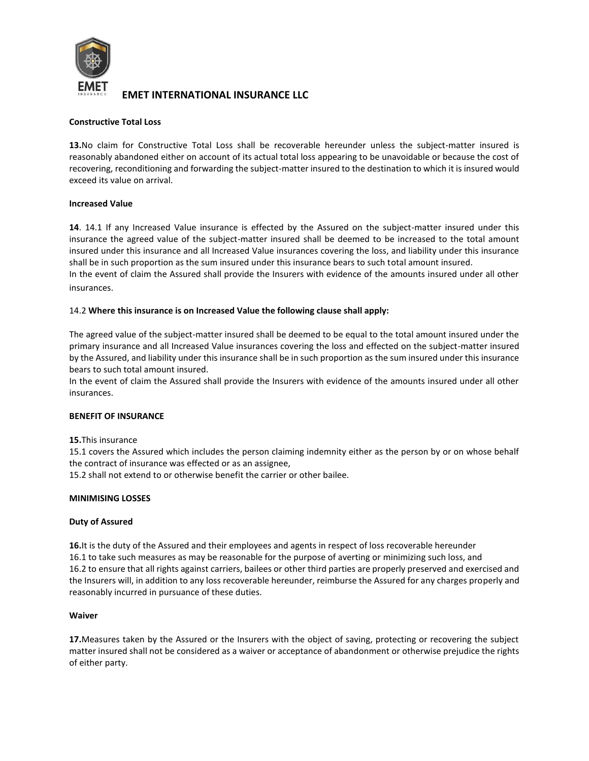

## **Constructive Total Loss**

**13.**No claim for Constructive Total Loss shall be recoverable hereunder unless the subject-matter insured is reasonably abandoned either on account of its actual total loss appearing to be unavoidable or because the cost of recovering, reconditioning and forwarding the subject-matter insured to the destination to which it is insured would exceed its value on arrival.

### **Increased Value**

**14**. 14.1 If any Increased Value insurance is effected by the Assured on the subject-matter insured under this insurance the agreed value of the subject-matter insured shall be deemed to be increased to the total amount insured under this insurance and all Increased Value insurances covering the loss, and liability under this insurance shall be in such proportion as the sum insured under this insurance bears to such total amount insured.

In the event of claim the Assured shall provide the Insurers with evidence of the amounts insured under all other insurances.

### 14.2 **Where this insurance is on Increased Value the following clause shall apply:**

The agreed value of the subject-matter insured shall be deemed to be equal to the total amount insured under the primary insurance and all Increased Value insurances covering the loss and effected on the subject-matter insured by the Assured, and liability under this insurance shall be in such proportion as the sum insured under this insurance bears to such total amount insured.

In the event of claim the Assured shall provide the Insurers with evidence of the amounts insured under all other insurances.

### **BENEFIT OF INSURANCE**

### **15.**This insurance

15.1 covers the Assured which includes the person claiming indemnity either as the person by or on whose behalf the contract of insurance was effected or as an assignee,

15.2 shall not extend to or otherwise benefit the carrier or other bailee.

### **MINIMISING LOSSES**

### **Duty of Assured**

**16.**It is the duty of the Assured and their employees and agents in respect of loss recoverable hereunder 16.1 to take such measures as may be reasonable for the purpose of averting or minimizing such loss, and 16.2 to ensure that all rights against carriers, bailees or other third parties are properly preserved and exercised and the Insurers will, in addition to any loss recoverable hereunder, reimburse the Assured for any charges properly and reasonably incurred in pursuance of these duties.

### **Waiver**

**17.**Measures taken by the Assured or the Insurers with the object of saving, protecting or recovering the subject matter insured shall not be considered as a waiver or acceptance of abandonment or otherwise prejudice the rights of either party.